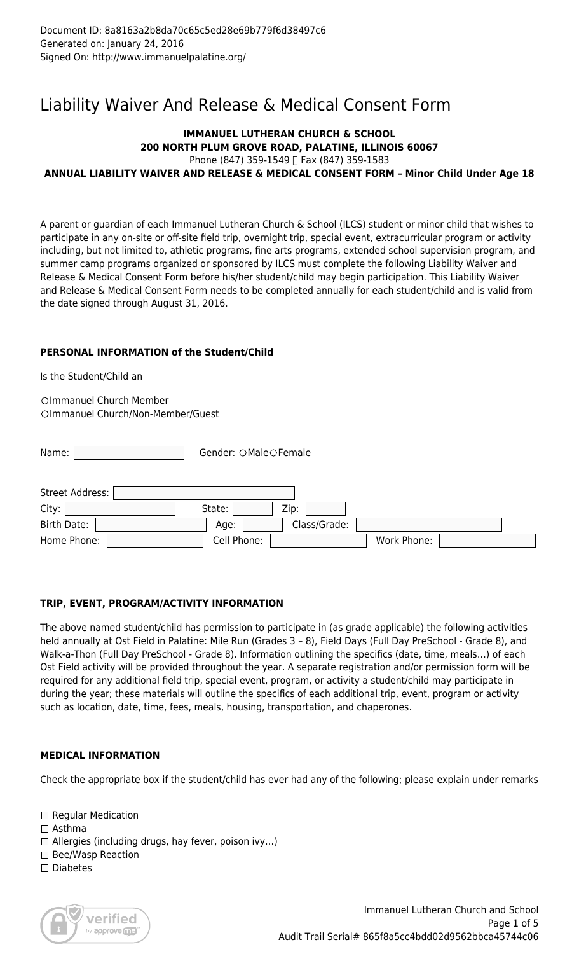# Liability Waiver And Release & Medical Consent Form

# **IMMANUEL LUTHERAN CHURCH & SCHOOL 200 NORTH PLUM GROVE ROAD, PALATINE, ILLINOIS 60067** Phone (847) 359-1549 [ Fax (847) 359-1583

# **ANNUAL LIABILITY WAIVER AND RELEASE & MEDICAL CONSENT FORM – Minor Child Under Age 18**

A parent or guardian of each Immanuel Lutheran Church & School (ILCS) student or minor child that wishes to participate in any on-site or off-site field trip, overnight trip, special event, extracurricular program or activity including, but not limited to, athletic programs, fine arts programs, extended school supervision program, and summer camp programs organized or sponsored by ILCS must complete the following Liability Waiver and Release & Medical Consent Form before his/her student/child may begin participation. This Liability Waiver and Release & Medical Consent Form needs to be completed annually for each student/child and is valid from the date signed through August 31, 2016.

# **PERSONAL INFORMATION of the Student/Child**

Is the Student/Child an

OImmanuel Church Member Olmmanuel Church/Non-Member/Guest

| Name:                      | Gender: OMaleOFemale       |
|----------------------------|----------------------------|
| Street Address:  <br>City: | State:<br>Zip:             |
| Birth Date:                | Class/Grade:<br>Age:       |
| Home Phone:                | Cell Phone:<br>Work Phone: |

# **TRIP, EVENT, PROGRAM/ACTIVITY INFORMATION**

The above named student/child has permission to participate in (as grade applicable) the following activities held annually at Ost Field in Palatine: Mile Run (Grades 3 - 8), Field Days (Full Day PreSchool - Grade 8), and Walk-a-Thon (Full Day PreSchool - Grade 8). Information outlining the specifics (date, time, meals…) of each Ost Field activity will be provided throughout the year. A separate registration and/or permission form will be required for any additional field trip, special event, program, or activity a student/child may participate in during the year; these materials will outline the specifics of each additional trip, event, program or activity such as location, date, time, fees, meals, housing, transportation, and chaperones.

# **MEDICAL INFORMATION**

Check the appropriate box if the student/child has ever had any of the following; please explain under remarks

 $\Box$  Regular Medication □ Asthma  $\Box$  Allergies (including drugs, hay fever, poison ivy...)  $\square$  Bee/Wasp Reaction  $\square$  Diabetes

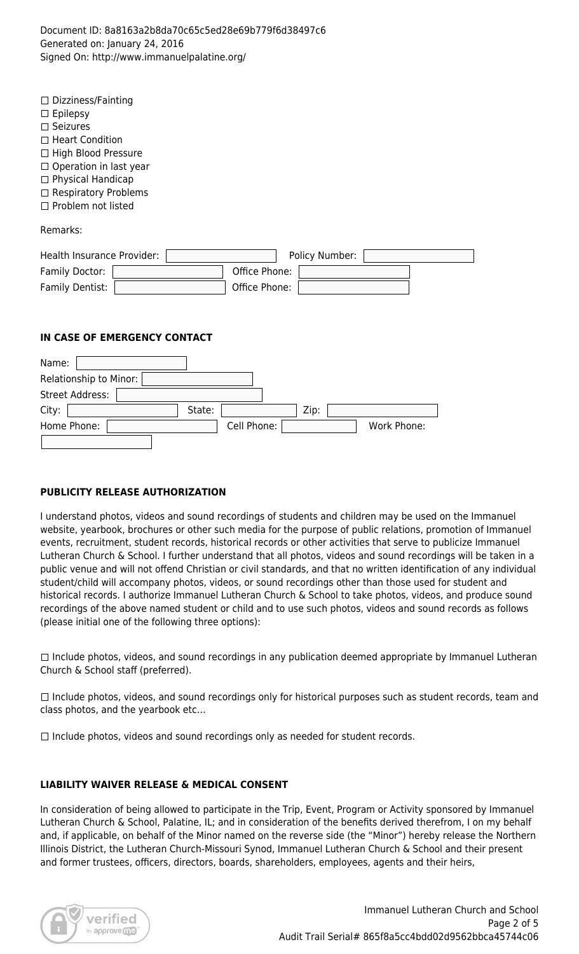Document ID: 8a8163a2b8da70c65c5ed28e69b779f6d38497c6 Generated on: January 24, 2016 Signed On: http://www.immanuelpalatine.org/

| Dizziness/Fainting<br>$\Box$<br>Epilepsy<br>$\Box$<br>Seizures<br>$\Box$<br><b>Heart Condition</b><br>П<br>High Blood Pressure<br>$\Box$<br>Operation in last year<br>□<br>Physical Handicap<br>□<br><b>Respiratory Problems</b><br>$\Box$<br>Problem not listed<br>П |                                                  |             |
|-----------------------------------------------------------------------------------------------------------------------------------------------------------------------------------------------------------------------------------------------------------------------|--------------------------------------------------|-------------|
| Remarks:                                                                                                                                                                                                                                                              |                                                  |             |
| Health Insurance Provider:<br>Family Doctor:<br>Family Dentist:                                                                                                                                                                                                       | Policy Number:<br>Office Phone:<br>Office Phone: |             |
| IN CASE OF EMERGENCY CONTACT                                                                                                                                                                                                                                          |                                                  |             |
| Name:<br>Relationship to Minor:<br><b>Street Address:</b><br>State:                                                                                                                                                                                                   |                                                  |             |
| City:<br>Home Phone:                                                                                                                                                                                                                                                  | Zip:<br>Cell Phone:                              | Work Phone: |

#### **PUBLICITY RELEASE AUTHORIZATION**

I understand photos, videos and sound recordings of students and children may be used on the Immanuel website, yearbook, brochures or other such media for the purpose of public relations, promotion of Immanuel events, recruitment, student records, historical records or other activities that serve to publicize Immanuel Lutheran Church & School. I further understand that all photos, videos and sound recordings will be taken in a public venue and will not offend Christian or civil standards, and that no written identification of any individual student/child will accompany photos, videos, or sound recordings other than those used for student and historical records. I authorize Immanuel Lutheran Church & School to take photos, videos, and produce sound recordings of the above named student or child and to use such photos, videos and sound records as follows (please initial one of the following three options):

 $\Box$  Include photos, videos, and sound recordings in any publication deemed appropriate by Immanuel Lutheran Church & School staff (preferred).

 $\Box$  Include photos, videos, and sound recordings only for historical purposes such as student records, team and class photos, and the yearbook etc…

 $\Box$  Include photos, videos and sound recordings only as needed for student records.

#### **LIABILITY WAIVER RELEASE & MEDICAL CONSENT**

In consideration of being allowed to participate in the Trip, Event, Program or Activity sponsored by Immanuel Lutheran Church & School, Palatine, IL; and in consideration of the benefits derived therefrom, I on my behalf and, if applicable, on behalf of the Minor named on the reverse side (the "Minor") hereby release the Northern Illinois District, the Lutheran Church-Missouri Synod, Immanuel Lutheran Church & School and their present and former trustees, officers, directors, boards, shareholders, employees, agents and their heirs,

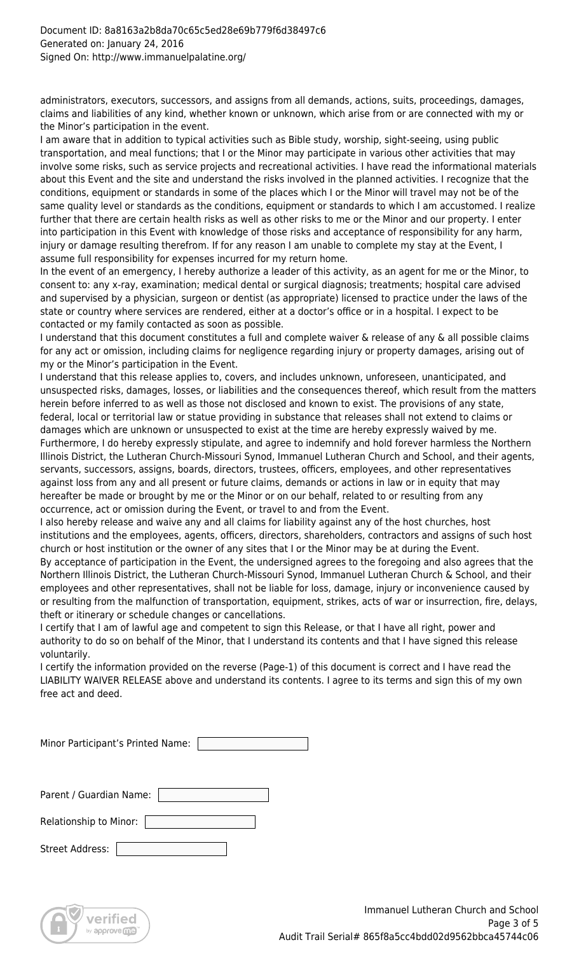administrators, executors, successors, and assigns from all demands, actions, suits, proceedings, damages, claims and liabilities of any kind, whether known or unknown, which arise from or are connected with my or the Minor's participation in the event.

I am aware that in addition to typical activities such as Bible study, worship, sight-seeing, using public transportation, and meal functions; that I or the Minor may participate in various other activities that may involve some risks, such as service projects and recreational activities. I have read the informational materials about this Event and the site and understand the risks involved in the planned activities. I recognize that the conditions, equipment or standards in some of the places which I or the Minor will travel may not be of the same quality level or standards as the conditions, equipment or standards to which I am accustomed. I realize further that there are certain health risks as well as other risks to me or the Minor and our property. I enter into participation in this Event with knowledge of those risks and acceptance of responsibility for any harm, injury or damage resulting therefrom. If for any reason I am unable to complete my stay at the Event, I assume full responsibility for expenses incurred for my return home.

In the event of an emergency, I hereby authorize a leader of this activity, as an agent for me or the Minor, to consent to: any x-ray, examination; medical dental or surgical diagnosis; treatments; hospital care advised and supervised by a physician, surgeon or dentist (as appropriate) licensed to practice under the laws of the state or country where services are rendered, either at a doctor's office or in a hospital. I expect to be contacted or my family contacted as soon as possible.

I understand that this document constitutes a full and complete waiver & release of any & all possible claims for any act or omission, including claims for negligence regarding injury or property damages, arising out of my or the Minor's participation in the Event.

I understand that this release applies to, covers, and includes unknown, unforeseen, unanticipated, and unsuspected risks, damages, losses, or liabilities and the consequences thereof, which result from the matters herein before inferred to as well as those not disclosed and known to exist. The provisions of any state, federal, local or territorial law or statue providing in substance that releases shall not extend to claims or damages which are unknown or unsuspected to exist at the time are hereby expressly waived by me. Furthermore, I do hereby expressly stipulate, and agree to indemnify and hold forever harmless the Northern Illinois District, the Lutheran Church-Missouri Synod, Immanuel Lutheran Church and School, and their agents, servants, successors, assigns, boards, directors, trustees, officers, employees, and other representatives against loss from any and all present or future claims, demands or actions in law or in equity that may hereafter be made or brought by me or the Minor or on our behalf, related to or resulting from any occurrence, act or omission during the Event, or travel to and from the Event.

I also hereby release and waive any and all claims for liability against any of the host churches, host institutions and the employees, agents, officers, directors, shareholders, contractors and assigns of such host church or host institution or the owner of any sites that I or the Minor may be at during the Event.

By acceptance of participation in the Event, the undersigned agrees to the foregoing and also agrees that the Northern Illinois District, the Lutheran Church-Missouri Synod, Immanuel Lutheran Church & School, and their employees and other representatives, shall not be liable for loss, damage, injury or inconvenience caused by or resulting from the malfunction of transportation, equipment, strikes, acts of war or insurrection, fire, delays, theft or itinerary or schedule changes or cancellations.

I certify that I am of lawful age and competent to sign this Release, or that I have all right, power and authority to do so on behalf of the Minor, that I understand its contents and that I have signed this release voluntarily.

I certify the information provided on the reverse (Page-1) of this document is correct and I have read the LIABILITY WAIVER RELEASE above and understand its contents. I agree to its terms and sign this of my own free act and deed.

| Minor Participant's Printed Name: |  |
|-----------------------------------|--|

| Parent / Guardian Name: |  |
|-------------------------|--|
| Relationship to Minor:  |  |
| <b>Street Address:</b>  |  |

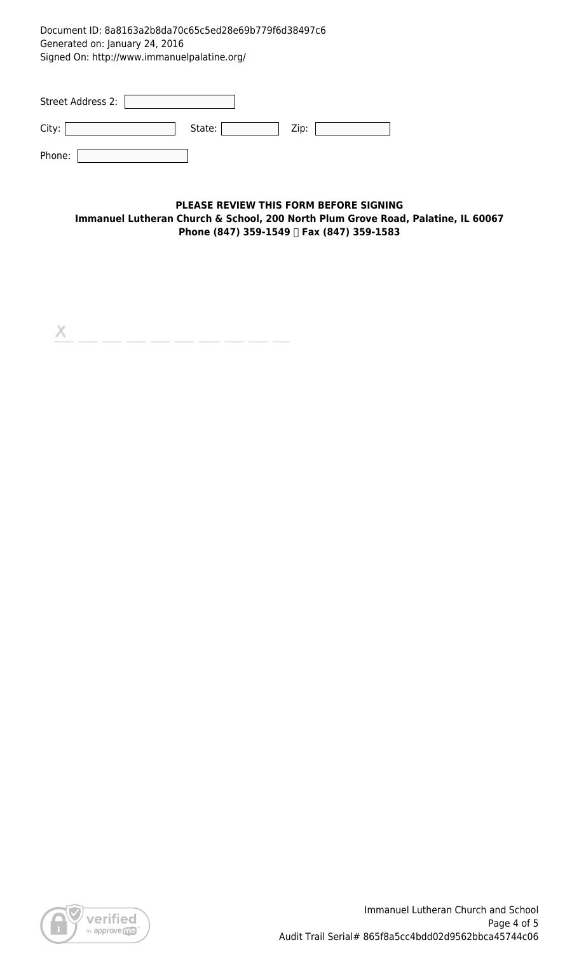Document ID: 8a8163a2b8da70c65c5ed28e69b779f6d38497c6 Generated on: January 24, 2016 Signed On: http://www.immanuelpalatine.org/

| Street Address 2: |        |      |
|-------------------|--------|------|
| City:             | State: | Zip: |
| Phone:            |        |      |

### **PLEASE REVIEW THIS FORM BEFORE SIGNING Immanuel Lutheran Church & School, 200 North Plum Grove Road, Palatine, IL 60067 Phone (847) 359-1549 Fax (847) 359-1583**

 $\mathsf{X}% _{\mathsf{X}}^{\prime}=\mathsf{X}_{\mathsf{X}}^{\prime}$